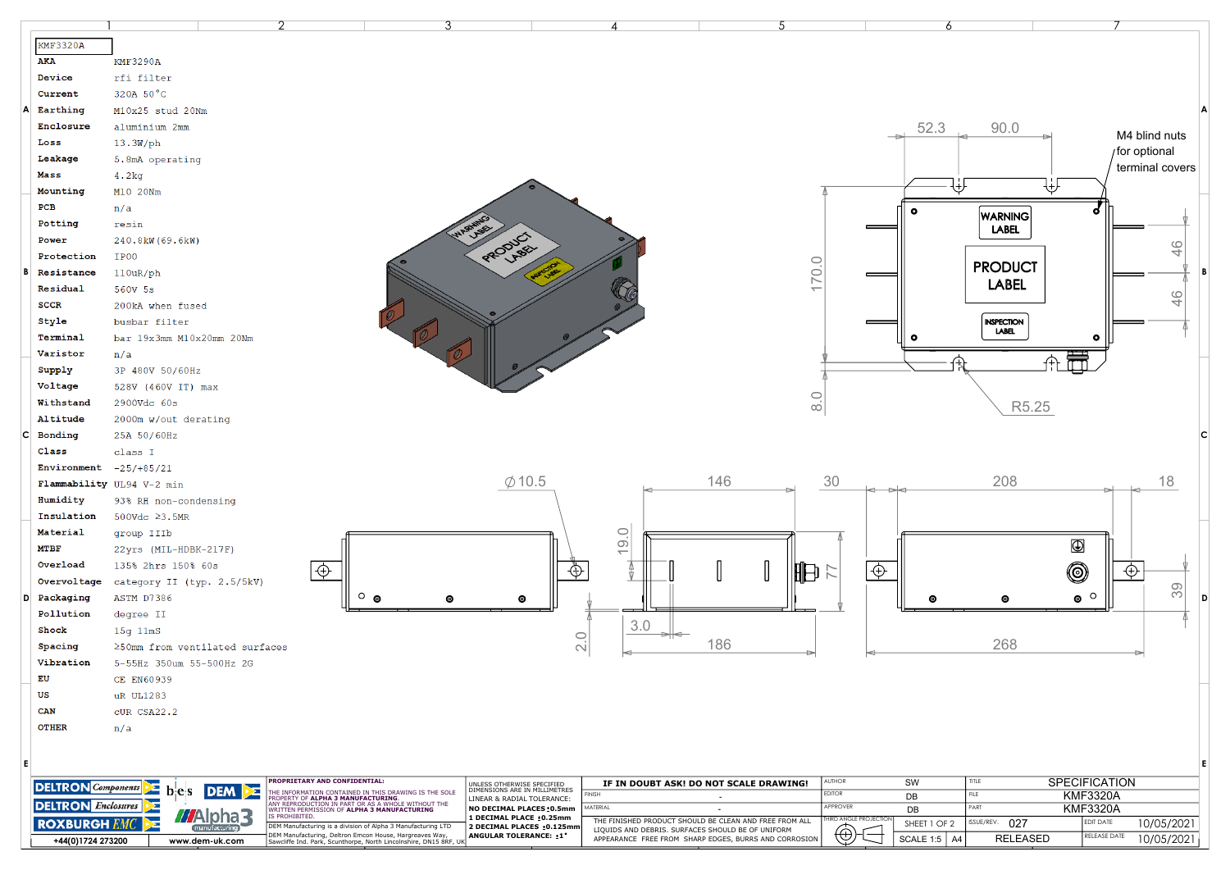|                                  |                           |                                |                  | っ                             | 3                                                                                                                                                                                                                                                                             |                                                             |                                 |                                                                                                            |        |                           |                              | 6                                     |                            |                              |                 |         |  |
|----------------------------------|---------------------------|--------------------------------|------------------|-------------------------------|-------------------------------------------------------------------------------------------------------------------------------------------------------------------------------------------------------------------------------------------------------------------------------|-------------------------------------------------------------|---------------------------------|------------------------------------------------------------------------------------------------------------|--------|---------------------------|------------------------------|---------------------------------------|----------------------------|------------------------------|-----------------|---------|--|
|                                  | KMF3320A                  |                                |                  |                               |                                                                                                                                                                                                                                                                               |                                                             |                                 |                                                                                                            |        |                           |                              |                                       |                            |                              |                 |         |  |
|                                  | AKA                       | <b>KMF3290A</b>                |                  |                               |                                                                                                                                                                                                                                                                               |                                                             |                                 |                                                                                                            |        |                           |                              |                                       |                            |                              |                 |         |  |
|                                  | Device                    | rfi filter                     |                  |                               |                                                                                                                                                                                                                                                                               |                                                             |                                 |                                                                                                            |        |                           |                              |                                       |                            |                              |                 |         |  |
|                                  | Current                   | 320A 50°C                      |                  |                               |                                                                                                                                                                                                                                                                               |                                                             |                                 |                                                                                                            |        |                           |                              |                                       |                            |                              |                 |         |  |
|                                  | Earthing                  |                                | M10x25 stud 20Nm |                               |                                                                                                                                                                                                                                                                               |                                                             |                                 |                                                                                                            |        |                           |                              |                                       |                            |                              |                 |         |  |
|                                  | Enclosure                 | aluminium 2mm                  |                  |                               |                                                                                                                                                                                                                                                                               |                                                             |                                 |                                                                                                            |        |                           |                              | 52.3                                  | 90.0                       |                              |                 |         |  |
|                                  | Loss                      |                                | M4 blind nuts    |                               |                                                                                                                                                                                                                                                                               |                                                             |                                 |                                                                                                            |        |                           |                              |                                       |                            |                              |                 |         |  |
|                                  | Leakage                   | 13.3W/ph                       |                  |                               |                                                                                                                                                                                                                                                                               |                                                             |                                 |                                                                                                            |        |                           |                              |                                       |                            |                              | /for optional   |         |  |
|                                  | Mass                      | 5.8mA operating                |                  |                               |                                                                                                                                                                                                                                                                               |                                                             |                                 |                                                                                                            |        |                           |                              |                                       |                            |                              | terminal covers |         |  |
|                                  | Mounting                  | 4.2kg                          |                  |                               |                                                                                                                                                                                                                                                                               |                                                             |                                 |                                                                                                            |        |                           |                              |                                       | ₩                          | ₩                            |                 |         |  |
|                                  | PCB                       | M10 20Nm                       |                  |                               |                                                                                                                                                                                                                                                                               |                                                             |                                 |                                                                                                            |        |                           |                              |                                       |                            |                              |                 |         |  |
|                                  |                           | n/a                            |                  |                               |                                                                                                                                                                                                                                                                               |                                                             |                                 |                                                                                                            |        |                           |                              | $\bullet$                             | <b>WARNING</b>             |                              |                 |         |  |
|                                  | Potting                   | resin                          |                  |                               |                                                                                                                                                                                                                                                                               |                                                             |                                 |                                                                                                            |        |                           |                              |                                       | <b>LABEL</b>               |                              |                 |         |  |
|                                  | Power                     | 240.8kW (69.6kW)               |                  |                               |                                                                                                                                                                                                                                                                               | PRODUCT                                                     |                                 |                                                                                                            |        |                           |                              |                                       |                            |                              | 46              |         |  |
|                                  | Protection                | IP00                           |                  |                               |                                                                                                                                                                                                                                                                               |                                                             |                                 |                                                                                                            |        | 170.0                     |                              |                                       | <b>PRODUCT</b>             |                              |                 |         |  |
|                                  | Resistance                | 110uR/ph                       |                  |                               |                                                                                                                                                                                                                                                                               |                                                             |                                 |                                                                                                            |        |                           |                              |                                       | <b>LABEL</b>               |                              |                 |         |  |
|                                  | Residual                  | 560V 5s                        |                  |                               |                                                                                                                                                                                                                                                                               |                                                             |                                 |                                                                                                            |        |                           |                              |                                       |                            |                              | 46              |         |  |
|                                  | <b>SCCR</b>               | 200kA when fused               |                  |                               |                                                                                                                                                                                                                                                                               |                                                             |                                 |                                                                                                            |        |                           |                              |                                       |                            |                              |                 |         |  |
|                                  | Style                     | busbar filter                  |                  |                               |                                                                                                                                                                                                                                                                               |                                                             |                                 |                                                                                                            |        |                           |                              |                                       | <b>INSPECTION</b><br>LABEL |                              |                 |         |  |
|                                  | Terminal                  | bar 19x3mm M10x20mm 20Nm       |                  |                               |                                                                                                                                                                                                                                                                               |                                                             |                                 |                                                                                                            |        |                           |                              | O                                     |                            | ۰                            |                 |         |  |
|                                  | Varistor                  | n/a                            |                  |                               |                                                                                                                                                                                                                                                                               |                                                             |                                 |                                                                                                            |        |                           |                              |                                       |                            |                              |                 |         |  |
|                                  | supp1y                    | 3P 480V 50/60Hz                |                  |                               |                                                                                                                                                                                                                                                                               |                                                             |                                 |                                                                                                            |        |                           |                              |                                       |                            |                              |                 |         |  |
|                                  | Voltage                   | 528V (460V IT) max             |                  |                               |                                                                                                                                                                                                                                                                               |                                                             |                                 |                                                                                                            |        |                           |                              |                                       |                            |                              |                 |         |  |
|                                  | Withstand                 | 2900Vdc 60s                    |                  |                               |                                                                                                                                                                                                                                                                               |                                                             |                                 |                                                                                                            |        | $\rm 8.0$                 |                              |                                       | R5.25                      |                              |                 |         |  |
|                                  | Altitude                  | 2000m w/out derating           |                  |                               |                                                                                                                                                                                                                                                                               |                                                             |                                 |                                                                                                            |        |                           |                              |                                       |                            |                              |                 |         |  |
|                                  | Bonding                   | 25A 50/60Hz                    |                  |                               |                                                                                                                                                                                                                                                                               |                                                             |                                 |                                                                                                            |        |                           |                              |                                       |                            |                              |                 |         |  |
|                                  | Class                     | class I                        |                  |                               |                                                                                                                                                                                                                                                                               |                                                             |                                 |                                                                                                            |        |                           |                              |                                       |                            |                              |                 |         |  |
|                                  | Environment $-25/+85/21$  |                                |                  |                               |                                                                                                                                                                                                                                                                               |                                                             |                                 |                                                                                                            |        |                           |                              |                                       |                            |                              |                 |         |  |
|                                  |                           | Flammability UL94 V-2 min      |                  |                               |                                                                                                                                                                                                                                                                               | $\varphi$ 10.5                                              |                                 |                                                                                                            | 146    | 30                        |                              |                                       | 208                        |                              | 18              |         |  |
|                                  | Humidity                  | 93% RH non-condensing          |                  |                               |                                                                                                                                                                                                                                                                               |                                                             |                                 |                                                                                                            |        |                           |                              |                                       |                            |                              |                 |         |  |
|                                  | Insulation                | 500Vdc ≥3.5MR                  |                  |                               |                                                                                                                                                                                                                                                                               |                                                             |                                 |                                                                                                            |        |                           |                              |                                       |                            |                              |                 |         |  |
|                                  | Material                  | group IIIb                     |                  |                               |                                                                                                                                                                                                                                                                               |                                                             |                                 | 9.0                                                                                                        |        |                           |                              |                                       |                            |                              |                 |         |  |
|                                  | MTBF                      | 22yrs (MIL-HDBK-217F)          |                  |                               |                                                                                                                                                                                                                                                                               |                                                             |                                 | $\overline{\phantom{0}}$                                                                                   |        |                           |                              |                                       |                            | $\bigcirc$                   |                 |         |  |
|                                  | Overload                  | 135% 2hrs 150% 60s             |                  |                               |                                                                                                                                                                                                                                                                               |                                                             |                                 |                                                                                                            |        |                           |                              |                                       |                            |                              |                 |         |  |
|                                  | Overvoltage               | category II (typ. 2.5/5kV)     |                  | $\overline{\bigtriangledown}$ |                                                                                                                                                                                                                                                                               |                                                             | ⊕                               |                                                                                                            |        | $\mathbb{H}$              | $\overline{\bigoplus}$       |                                       |                            | 0                            | ⊕               |         |  |
|                                  | Packaging                 | <b>ASTM D7386</b>              |                  |                               | $\circ$<br>◎                                                                                                                                                                                                                                                                  | ◉<br>◎                                                      |                                 |                                                                                                            |        |                           |                              |                                       | $\bullet$                  | $\bullet$                    |                 | 39<br>D |  |
|                                  | Pollution                 | degree II                      |                  |                               |                                                                                                                                                                                                                                                                               |                                                             |                                 |                                                                                                            |        |                           |                              |                                       |                            |                              |                 |         |  |
|                                  | Shock                     | 15g 11mS                       |                  |                               |                                                                                                                                                                                                                                                                               |                                                             |                                 | $3.0\,$                                                                                                    |        |                           |                              |                                       |                            |                              |                 |         |  |
|                                  | Spacing                   | ≥50mm from ventilated surfaces |                  |                               |                                                                                                                                                                                                                                                                               |                                                             | $\bigcirc$<br>$\sim$            | طا⇔                                                                                                        | 186    |                           |                              |                                       | 268                        |                              |                 |         |  |
|                                  | Vibration                 | 5-55Hz 350um 55-500Hz 2G       |                  |                               |                                                                                                                                                                                                                                                                               |                                                             |                                 |                                                                                                            |        |                           |                              |                                       |                            |                              |                 |         |  |
|                                  | EU                        | CE EN60939                     |                  |                               |                                                                                                                                                                                                                                                                               |                                                             |                                 |                                                                                                            |        |                           |                              |                                       |                            |                              |                 |         |  |
|                                  | US                        | uR UL1283                      |                  |                               |                                                                                                                                                                                                                                                                               |                                                             |                                 |                                                                                                            |        |                           |                              |                                       |                            |                              |                 |         |  |
|                                  | CAN                       | cUR CSA22.2                    |                  |                               |                                                                                                                                                                                                                                                                               |                                                             |                                 |                                                                                                            |        |                           |                              |                                       |                            |                              |                 |         |  |
|                                  | <b>OTHER</b>              | n/a                            |                  |                               |                                                                                                                                                                                                                                                                               |                                                             |                                 |                                                                                                            |        |                           |                              |                                       |                            |                              |                 |         |  |
|                                  |                           |                                |                  |                               |                                                                                                                                                                                                                                                                               |                                                             |                                 |                                                                                                            |        |                           |                              |                                       |                            |                              |                 |         |  |
|                                  |                           |                                |                  |                               |                                                                                                                                                                                                                                                                               |                                                             |                                 |                                                                                                            |        |                           |                              |                                       |                            |                              |                 |         |  |
|                                  |                           |                                |                  |                               |                                                                                                                                                                                                                                                                               |                                                             |                                 |                                                                                                            |        |                           |                              |                                       |                            |                              |                 |         |  |
|                                  | <b>DELTRON</b> Components | b e s                          | IDEM PΣ          | PROPRIETARY AND CONFIDENTIAL: |                                                                                                                                                                                                                                                                               | UNLESS OTHERWISE SPECIFIED<br>DIMENSIONS ARE IN MILLIMETRES |                                 | IF IN DOUBT ASK! DO NOT SCALE DRAWING!                                                                     |        | <b>AUTHOR</b>             |                              | SW                                    | TITLE                      | <b>SPECIFICATION</b>         |                 |         |  |
| <b>DELTRON</b> <i>Enclosures</i> |                           |                                |                  |                               | THE INFORMATION CONTAINED IN THIS DRAWING IS THE SOLE<br>PROPERTY OF <b>ALPHA 3 MANUFACTURING</b> .<br>FROFLERT OF <b>ALFINA 3 MART OR AS A WHOLE WITHOUT THE</b><br>ANY REPRODUCTION IN PART OR AS A WHOLE WITHOUT THE<br>WRITTEN PERMISSION OF <b>ALPHA 3 MANUFACTURING</b> | LINEAR & RADIAL TOLERANCE:                                  | <b>INISH</b><br><b>AATERIAL</b> |                                                                                                            | $\sim$ | <b>EDITOR</b><br>APPROVER |                              | DB                                    | FILE<br>PART               | <b>KMF3320A</b>              |                 |         |  |
|                                  | <b>ROXBURGH EMC</b>       | ⋝                              | <b>///Alpha3</b> | S PROHIBITED.                 |                                                                                                                                                                                                                                                                               | NO DECIMAL PLACES: 0.5mm<br>1 DECIMAL PLACE : 0.25mm        |                                 | THE FINISHED PRODUCT SHOULD BE CLEAN AND FREE FROM ALL                                                     | $\sim$ |                           | <b>HIRD ANGLE PROJECTION</b> | DB                                    | 027<br>ISSUE/REV.          | <b>KMF3320A</b><br>EDIT DATE | 10/05/2021      |         |  |
|                                  |                           |                                | manufacturing    |                               | DEM Manufacturing is a division of Alpha 3 Manufacturing LTD<br>DEM Manufacturing, Deltron Emcon House, Hargreaves Way,<br>Sawcliffe Ind. Park, Scunthorpe, North Lincolnshire, DN15 8RF, UI                                                                                  | 2 DECIMAL PLACES : 0.125mm<br>ANGULAR TOLERANCE: : 1°       |                                 | LIQUIDS AND DEBRIS. SURFACES SHOULD BE OF UNIFORM<br>APPEARANCE FREE FROM SHARP EDGES, BURRS AND CORROSION |        | $\bigoplus$               |                              | SHEET 1 OF 2<br><b>SCALE 1:5   A4</b> | <b>RELEASED</b>            | RELEASE DATE                 | 10/05/2021      |         |  |
|                                  | +44(0)1724 273200         |                                | www.dem-uk.com   |                               |                                                                                                                                                                                                                                                                               |                                                             |                                 |                                                                                                            |        |                           |                              |                                       |                            |                              |                 |         |  |